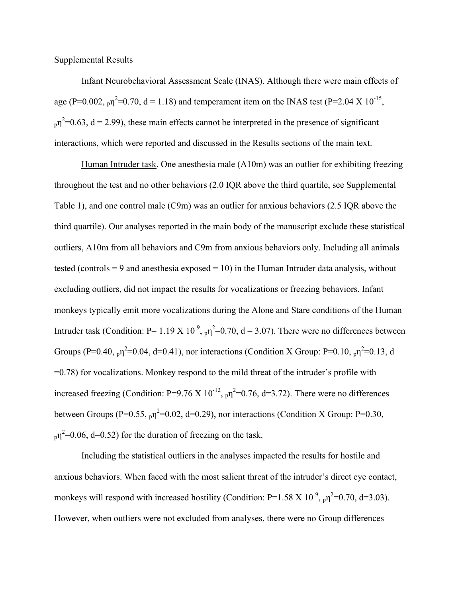Supplemental Results

Infant Neurobehavioral Assessment Scale (INAS). Although there were main effects of age (P=0.002,  $_{\text{p}}$ n<sup>2</sup>=0.70, d = 1.18) and temperament item on the INAS test (P=2.04 X 10<sup>-15</sup>,  $_{p}$  $\eta^{2}=0.63$ , d = 2.99), these main effects cannot be interpreted in the presence of significant interactions, which were reported and discussed in the Results sections of the main text.

Human Intruder task. One anesthesia male (A10m) was an outlier for exhibiting freezing throughout the test and no other behaviors (2.0 IQR above the third quartile, see Supplemental Table 1), and one control male (C9m) was an outlier for anxious behaviors (2.5 IQR above the third quartile). Our analyses reported in the main body of the manuscript exclude these statistical outliers, A10m from all behaviors and C9m from anxious behaviors only. Including all animals tested (controls  $= 9$  and anesthesia exposed  $= 10$ ) in the Human Intruder data analysis, without excluding outliers, did not impact the results for vocalizations or freezing behaviors. Infant monkeys typically emit more vocalizations during the Alone and Stare conditions of the Human Intruder task (Condition: P= 1.19 X 10<sup>-9</sup>,  $p_1^2$ =0.70, d = 3.07). There were no differences between Groups (P=0.40,  $_{p}$  $\eta$ <sup>2</sup>=0.04, d=0.41), nor interactions (Condition X Group: P=0.10,  $_{p}$  $\eta$ <sup>2</sup>=0.13, d =0.78) for vocalizations. Monkey respond to the mild threat of the intruder's profile with increased freezing (Condition: P=9.76 X  $10^{-12}$ ,  $\mu$ <sup>2</sup>=0.76, d=3.72). There were no differences between Groups (P=0.55,  $_{p}$  $\eta$ <sup>2</sup>=0.02, d=0.29), nor interactions (Condition X Group: P=0.30,  $_{p}$ η<sup>2</sup>=0.06, d=0.52) for the duration of freezing on the task.

Including the statistical outliers in the analyses impacted the results for hostile and anxious behaviors. When faced with the most salient threat of the intruder's direct eye contact, monkeys will respond with increased hostility (Condition: P=1.58 X  $10^{-9}$ ,  $\text{p} \eta^2$ =0.70, d=3.03). However, when outliers were not excluded from analyses, there were no Group differences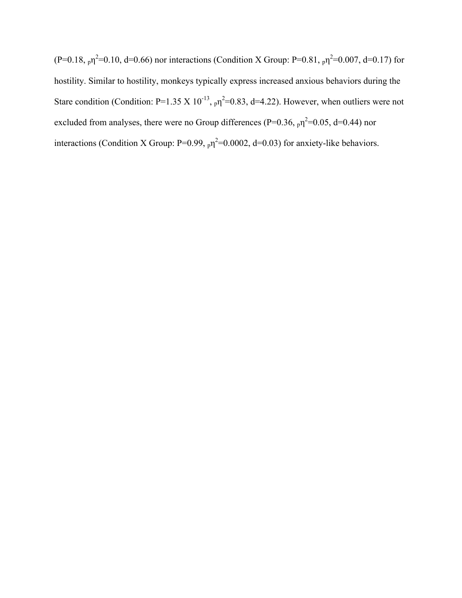$(P=0.18, pT^2=0.10, d=0.66)$  nor interactions (Condition X Group: P=0.81,  $pT^2=0.007, d=0.17$ ) for hostility. Similar to hostility, monkeys typically express increased anxious behaviors during the Stare condition (Condition: P=1.35 X  $10^{-13}$ ,  $\mu$ m<sup>2</sup>=0.83, d=4.22). However, when outliers were not excluded from analyses, there were no Group differences (P=0.36,  $_{p}n^{2}=0.05$ , d=0.44) nor interactions (Condition X Group:  $P=0.99$ ,  $_{p}$  $\eta^{2}=0.0002$ , d=0.03) for anxiety-like behaviors.